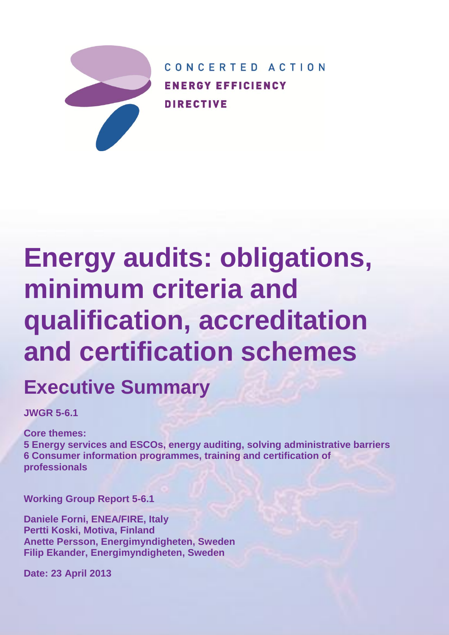

CONCERTED ACTION **ENERGY EFFICIENCY DIRECTIVE** 

# **Energy audits: obligations, minimum criteria and qualification, accreditation and certification schemes**

# **Executive Summary**

**JWGR 5-6.1**

**Core themes:**

**5 Energy services and ESCOs, energy auditing, solving administrative barriers 6 Consumer information programmes, training and certification of professionals**

**Working Group Report 5-6.1**

**Daniele Forni, ENEA/FIRE, Italy Pertti Koski, Motiva, Finland Anette Persson, Energimyndigheten, Sweden Filip Ekander, Energimyndigheten, Sweden**

**Date: 23 April 2013**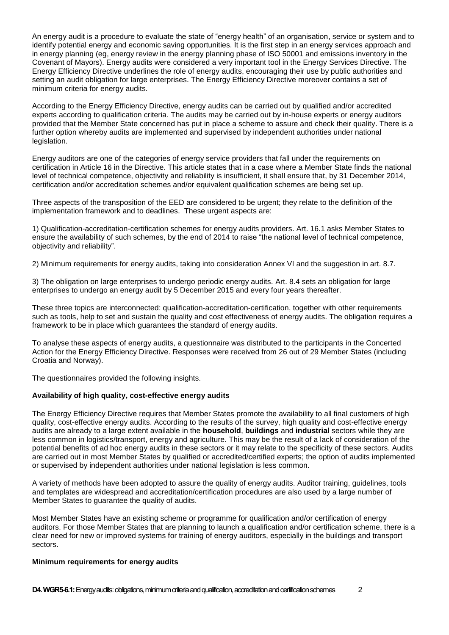An energy audit is a procedure to evaluate the state of "energy health" of an organisation, service or system and to identify potential energy and economic saving opportunities. It is the first step in an energy services approach and in energy planning (eg, energy review in the energy planning phase of ISO 50001 and emissions inventory in the Covenant of Mayors). Energy audits were considered a very important tool in the Energy Services Directive. The Energy Efficiency Directive underlines the role of energy audits, encouraging their use by public authorities and setting an audit obligation for large enterprises. The Energy Efficiency Directive moreover contains a set of minimum criteria for energy audits.

According to the Energy Efficiency Directive, energy audits can be carried out by qualified and/or accredited experts according to qualification criteria. The audits may be carried out by in-house experts or energy auditors provided that the Member State concerned has put in place a scheme to assure and check their quality. There is a further option whereby audits are implemented and supervised by independent authorities under national legislation.

Energy auditors are one of the categories of energy service providers that fall under the requirements on certification in Article 16 in the Directive. This article states that in a case where a Member State finds the national level of technical competence, objectivity and reliability is insufficient, it shall ensure that, by 31 December 2014, certification and/or accreditation schemes and/or equivalent qualification schemes are being set up.

Three aspects of the transposition of the EED are considered to be urgent; they relate to the definition of the implementation framework and to deadlines. These urgent aspects are:

1) Qualification-accreditation-certification schemes for energy audits providers. Art. 16.1 asks Member States to ensure the availability of such schemes, by the end of 2014 to raise "the national level of technical competence, objectivity and reliability".

2) Minimum requirements for energy audits, taking into consideration Annex VI and the suggestion in art. 8.7.

3) The obligation on large enterprises to undergo periodic energy audits. Art. 8.4 sets an obligation for large enterprises to undergo an energy audit by 5 December 2015 and every four years thereafter.

These three topics are interconnected: qualification-accreditation-certification, together with other requirements such as tools, help to set and sustain the quality and cost effectiveness of energy audits. The obligation requires a framework to be in place which guarantees the standard of energy audits.

To analyse these aspects of energy audits, a questionnaire was distributed to the participants in the Concerted Action for the Energy Efficiency Directive. Responses were received from 26 out of 29 Member States (including Croatia and Norway).

The questionnaires provided the following insights.

## **Availability of high quality, cost-effective energy audits**

The Energy Efficiency Directive requires that Member States promote the availability to all final customers of high quality, cost-effective energy audits. According to the results of the survey, high quality and cost-effective energy audits are already to a large extent available in the **household**, **buildings** and **industrial** sectors while they are less common in logistics/transport, energy and agriculture. This may be the result of a lack of consideration of the potential benefits of ad hoc energy audits in these sectors or it may relate to the specificity of these sectors. Audits are carried out in most Member States by qualified or accredited/certified experts; the option of audits implemented or supervised by independent authorities under national legislation is less common.

A variety of methods have been adopted to assure the quality of energy audits. Auditor training, guidelines, tools and templates are widespread and accreditation/certification procedures are also used by a large number of Member States to guarantee the quality of audits.

Most Member States have an existing scheme or programme for qualification and/or certification of energy auditors. For those Member States that are planning to launch a qualification and/or certification scheme, there is a clear need for new or improved systems for training of energy auditors, especially in the buildings and transport sectors.

#### **Minimum requirements for energy audits**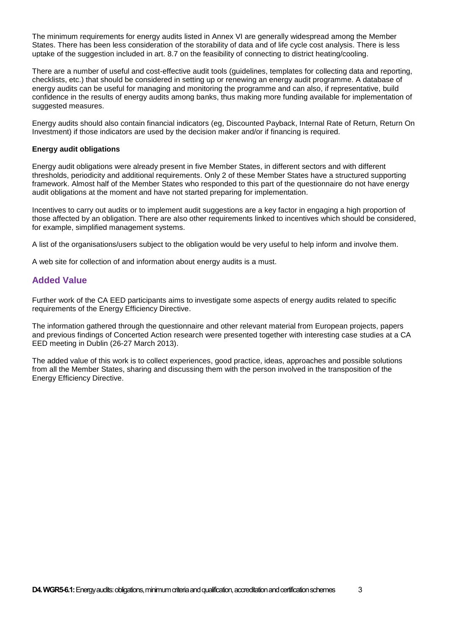The minimum requirements for energy audits listed in Annex VI are generally widespread among the Member States. There has been less consideration of the storability of data and of life cycle cost analysis. There is less uptake of the suggestion included in art. 8.7 on the feasibility of connecting to district heating/cooling.

There are a number of useful and cost-effective audit tools (guidelines, templates for collecting data and reporting, checklists, etc.) that should be considered in setting up or renewing an energy audit programme. A database of energy audits can be useful for managing and monitoring the programme and can also, if representative, build confidence in the results of energy audits among banks, thus making more funding available for implementation of suggested measures.

Energy audits should also contain financial indicators (eg, Discounted Payback, Internal Rate of Return, Return On Investment) if those indicators are used by the decision maker and/or if financing is required.

#### **Energy audit obligations**

Energy audit obligations were already present in five Member States, in different sectors and with different thresholds, periodicity and additional requirements. Only 2 of these Member States have a structured supporting framework. Almost half of the Member States who responded to this part of the questionnaire do not have energy audit obligations at the moment and have not started preparing for implementation.

Incentives to carry out audits or to implement audit suggestions are a key factor in engaging a high proportion of those affected by an obligation. There are also other requirements linked to incentives which should be considered, for example, simplified management systems.

A list of the organisations/users subject to the obligation would be very useful to help inform and involve them.

A web site for collection of and information about energy audits is a must.

# **Added Value**

Further work of the CA EED participants aims to investigate some aspects of energy audits related to specific requirements of the Energy Efficiency Directive.

The information gathered through the questionnaire and other relevant material from European projects, papers and previous findings of Concerted Action research were presented together with interesting case studies at a CA EED meeting in Dublin (26-27 March 2013).

The added value of this work is to collect experiences, good practice, ideas, approaches and possible solutions from all the Member States, sharing and discussing them with the person involved in the transposition of the Energy Efficiency Directive.